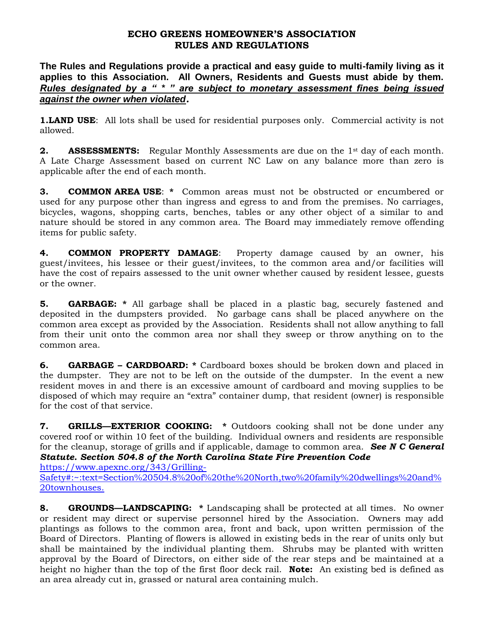## **ECHO GREENS HOMEOWNER'S ASSOCIATION RULES AND REGULATIONS**

**The Rules and Regulations provide a practical and easy guide to multi-family living as it applies to this Association. All Owners, Residents and Guests must abide by them.**  *Rules designated by a " \* " are subject to monetary assessment fines being issued against the owner when violated.*

**1.LAND USE:** All lots shall be used for residential purposes only. Commercial activity is not allowed.

**2. ASSESSMENTS:** Regular Monthly Assessments are due on the 1st day of each month. A Late Charge Assessment based on current NC Law on any balance more than zero is applicable after the end of each month.

**3. COMMON AREA USE**: **\*** Common areas must not be obstructed or encumbered or used for any purpose other than ingress and egress to and from the premises. No carriages, bicycles, wagons, shopping carts, benches, tables or any other object of a similar to and nature should be stored in any common area. The Board may immediately remove offending items for public safety.

**4. COMMON PROPERTY DAMAGE**: Property damage caused by an owner, his guest/invitees, his lessee or their guest/invitees, to the common area and/or facilities will have the cost of repairs assessed to the unit owner whether caused by resident lessee, guests or the owner.

**5. GARBAGE: \*** All garbage shall be placed in a plastic bag, securely fastened and deposited in the dumpsters provided. No garbage cans shall be placed anywhere on the common area except as provided by the Association. Residents shall not allow anything to fall from their unit onto the common area nor shall they sweep or throw anything on to the common area.

**6. GARBAGE – CARDBOARD: \*** Cardboard boxes should be broken down and placed in the dumpster. They are not to be left on the outside of the dumpster. In the event a new resident moves in and there is an excessive amount of cardboard and moving supplies to be disposed of which may require an "extra" container dump, that resident (owner) is responsible for the cost of that service.

**7. GRILLS—EXTERIOR COOKING:** \* Outdoors cooking shall not be done under any covered roof or within 10 feet of the building. Individual owners and residents are responsible for the cleanup, storage of grills and if applicable, damage to common area. *See N C General Statute. Section 504.8 of the North Carolina State Fire Prevention Code*

[https://www.apexnc.org/343/Grilling-](https://www.apexnc.org/343/Grilling-Safety#:~:text=Section%20504.8%20of%20the%20North,two%20family%20dwellings%20and%20townhouses.)[Safety#:~:text=Section%20504.8%20of%20the%20North,two%20family%20dwellings%20and%](https://www.apexnc.org/343/Grilling-Safety#:~:text=Section%20504.8%20of%20the%20North,two%20family%20dwellings%20and%20townhouses.) [20townhouses.](https://www.apexnc.org/343/Grilling-Safety#:~:text=Section%20504.8%20of%20the%20North,two%20family%20dwellings%20and%20townhouses.)

**8. GROUNDS—LANDSCAPING: \*** Landscaping shall be protected at all times. No owner or resident may direct or supervise personnel hired by the Association. Owners may add plantings as follows to the common area, front and back, upon written permission of the Board of Directors. Planting of flowers is allowed in existing beds in the rear of units only but shall be maintained by the individual planting them. Shrubs may be planted with written approval by the Board of Directors, on either side of the rear steps and be maintained at a height no higher than the top of the first floor deck rail. **Note:** An existing bed is defined as an area already cut in, grassed or natural area containing mulch.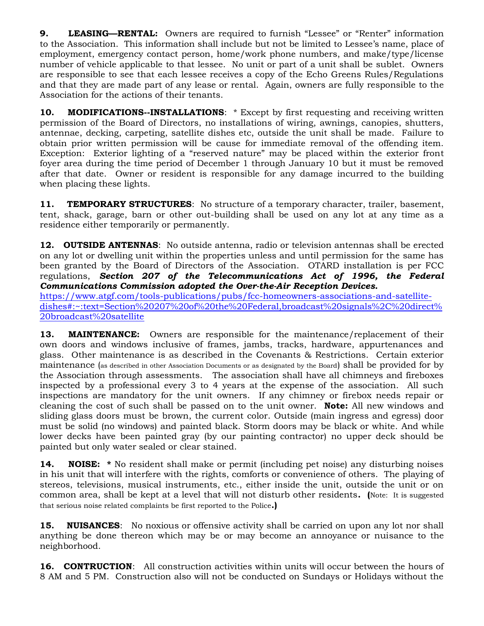**9. LEASING—RENTAL:** Owners are required to furnish "Lessee" or "Renter" information to the Association. This information shall include but not be limited to Lessee's name, place of employment, emergency contact person, home/work phone numbers, and make/type/license number of vehicle applicable to that lessee. No unit or part of a unit shall be sublet. Owners are responsible to see that each lessee receives a copy of the Echo Greens Rules/Regulations and that they are made part of any lease or rental. Again, owners are fully responsible to the Association for the actions of their tenants.

**10. MODIFICATIONS--INSTALLATIONS:** \* Except by first requesting and receiving written permission of the Board of Directors, no installations of wiring, awnings, canopies, shutters, antennae, decking, carpeting, satellite dishes etc, outside the unit shall be made. Failure to obtain prior written permission will be cause for immediate removal of the offending item. Exception: Exterior lighting of a "reserved nature" may be placed within the exterior front foyer area during the time period of December 1 through January 10 but it must be removed after that date. Owner or resident is responsible for any damage incurred to the building when placing these lights.

**11. TEMPORARY STRUCTURES**: No structure of a temporary character, trailer, basement, tent, shack, garage, barn or other out-building shall be used on any lot at any time as a residence either temporarily or permanently.

**12. OUTSIDE ANTENNAS**: No outside antenna, radio or television antennas shall be erected on any lot or dwelling unit within the properties unless and until permission for the same has been granted by the Board of Directors of the Association. OTARD installation is per FCC regulations, *Section 207 of the Telecommunications Act of 1996, the Federal Communications Commission adopted the Over-the-Air Reception Devices.*

[https://www.atgf.com/tools-publications/pubs/fcc-homeowners-associations-and-satellite](https://www.atgf.com/tools-publications/pubs/fcc-homeowners-associations-and-satellite-dishes#:~:text=Section%20207%20of%20the%20Federal,broadcast%20signals%2C%20direct%20broadcast%20satellite)[dishes#:~:text=Section%20207%20of%20the%20Federal,broadcast%20signals%2C%20direct%](https://www.atgf.com/tools-publications/pubs/fcc-homeowners-associations-and-satellite-dishes#:~:text=Section%20207%20of%20the%20Federal,broadcast%20signals%2C%20direct%20broadcast%20satellite) [20broadcast%20satellite](https://www.atgf.com/tools-publications/pubs/fcc-homeowners-associations-and-satellite-dishes#:~:text=Section%20207%20of%20the%20Federal,broadcast%20signals%2C%20direct%20broadcast%20satellite)

**13. MAINTENANCE:** Owners are responsible for the maintenance/replacement of their own doors and windows inclusive of frames, jambs, tracks, hardware, appurtenances and glass. Other maintenance is as described in the Covenants & Restrictions. Certain exterior maintenance (as described in other Association Documents or as designated by the Board) shall be provided for by the Association through assessments. The association shall have all chimneys and fireboxes inspected by a professional every 3 to 4 years at the expense of the association. All such inspections are mandatory for the unit owners. If any chimney or firebox needs repair or cleaning the cost of such shall be passed on to the unit owner. **Note:** All new windows and sliding glass doors must be brown, the current color. Outside (main ingress and egress) door must be solid (no windows) and painted black. Storm doors may be black or white. And while lower decks have been painted gray (by our painting contractor) no upper deck should be painted but only water sealed or clear stained.

**14. NOISE:** \* No resident shall make or permit (including pet noise) any disturbing noises in his unit that will interfere with the rights, comforts or convenience of others. The playing of stereos, televisions, musical instruments, etc., either inside the unit, outside the unit or on common area, shall be kept at a level that will not disturb other residents**. (**Note: It is suggested that serious noise related complaints be first reported to the Police**.)**

**15. NUISANCES:** No noxious or offensive activity shall be carried on upon any lot nor shall anything be done thereon which may be or may become an annoyance or nuisance to the neighborhood.

**16. CONTRUCTION**: All construction activities within units will occur between the hours of 8 AM and 5 PM. Construction also will not be conducted on Sundays or Holidays without the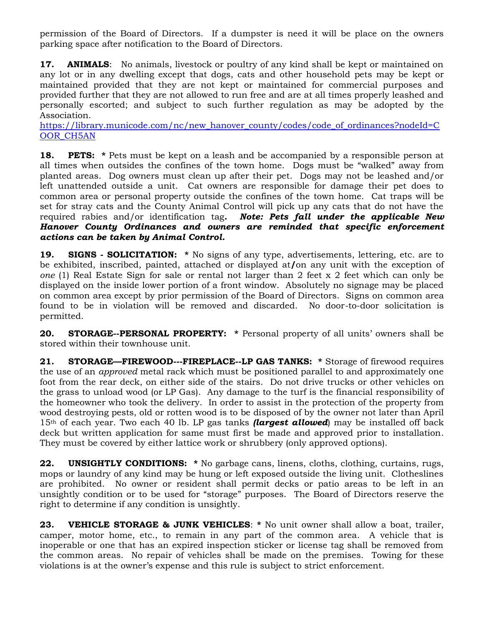permission of the Board of Directors. If a dumpster is need it will be place on the owners parking space after notification to the Board of Directors.

**17. ANIMALS:** No animals, livestock or poultry of any kind shall be kept or maintained on any lot or in any dwelling except that dogs, cats and other household pets may be kept or maintained provided that they are not kept or maintained for commercial purposes and provided further that they are not allowed to run free and are at all times properly leashed and personally escorted; and subject to such further regulation as may be adopted by the Association.

[https://library.municode.com/nc/new\\_hanover\\_county/codes/code\\_of\\_ordinances?nodeId=C](https://library.municode.com/nc/new_hanover_county/codes/code_of_ordinances?nodeId=COOR_CH5AN) OOR CH5AN

**18. PETS:** \* Pets must be kept on a leash and be accompanied by a responsible person at all times when outsides the confines of the town home. Dogs must be "walked" away from planted areas. Dog owners must clean up after their pet. Dogs may not be leashed and/or left unattended outside a unit. Cat owners are responsible for damage their pet does to common area or personal property outside the confines of the town home. Cat traps will be set for stray cats and the County Animal Control will pick up any cats that do not have the required rabies and/or identification tag**.** *Note: Pets fall under the applicable New Hanover County Ordinances and owners are reminded that specific enforcement actions can be taken by Animal Control.*

**19. SIGNS - SOLICITATION: \*** No signs of any type, advertisements, lettering, etc. are to be exhibited, inscribed, painted, attached or displayed at**/**on any unit with the exception of *one* (1) Real Estate Sign for sale or rental not larger than 2 feet x 2 feet which can only be displayed on the inside lower portion of a front window. Absolutely no signage may be placed on common area except by prior permission of the Board of Directors. Signs on common area found to be in violation will be removed and discarded. No door-to-door solicitation is permitted.

**20. STORAGE--PERSONAL PROPERTY: \*** Personal property of all units' owners shall be stored within their townhouse unit.

21. **STORAGE—FIREWOOD---FIREPLACE--LP GAS TANKS:** \* Storage of firewood requires the use of an *approved* metal rack which must be positioned parallel to and approximately one foot from the rear deck, on either side of the stairs. Do not drive trucks or other vehicles on the grass to unload wood (or LP Gas). Any damage to the turf is the financial responsibility of the homeowner who took the delivery. In order to assist in the protection of the property from wood destroying pests, old or rotten wood is to be disposed of by the owner not later than April 15th of each year. Two each 40 lb. LP gas tanks *(largest allowed*) may be installed off back deck but written application for same must first be made and approved prior to installation. They must be covered by either lattice work or shrubbery (only approved options).

**22. UNSIGHTLY CONDITIONS: \*** No garbage cans, linens, cloths, clothing, curtains, rugs, mops or laundry of any kind may be hung or left exposed outside the living unit. Clotheslines are prohibited. No owner or resident shall permit decks or patio areas to be left in an unsightly condition or to be used for "storage" purposes. The Board of Directors reserve the right to determine if any condition is unsightly.

**23. VEHICLE STORAGE & JUNK VEHICLES**: **\*** No unit owner shall allow a boat, trailer, camper, motor home, etc., to remain in any part of the common area. A vehicle that is inoperable or one that has an expired inspection sticker or license tag shall be removed from the common areas. No repair of vehicles shall be made on the premises. Towing for these violations is at the owner's expense and this rule is subject to strict enforcement.